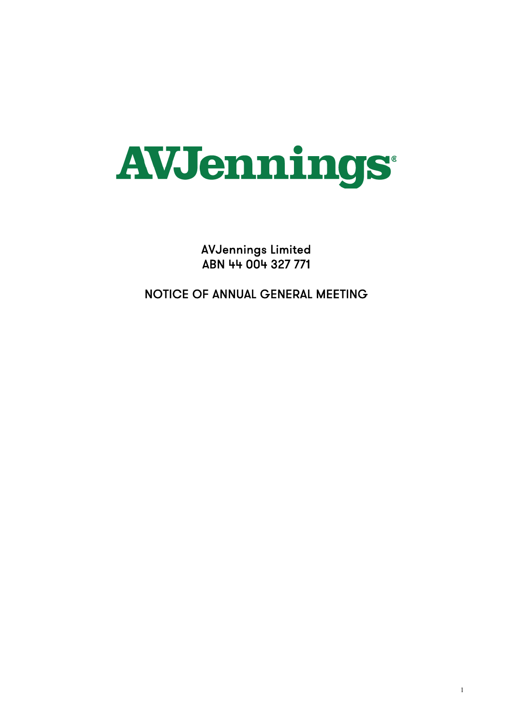# **AVJennings**

AVJennings Limited ABN 44 004 327 771

NOTICE OF ANNUAL GENERAL MEETING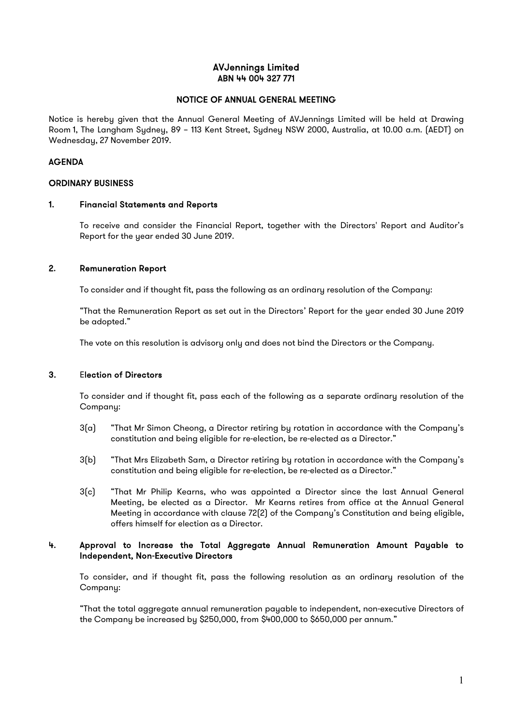## AVJennings Limited ABN 44 004 327 771

#### NOTICE OF ANNUAL GENERAL MEETING

Notice is hereby given that the Annual General Meeting of AVJennings Limited will be held at Drawing Room 1, The Langham Sydney, 89 – 113 Kent Street, Sydney NSW 2000, Australia, at 10.00 a.m. (AEDT) on Wednesday, 27 November 2019.

#### AGENDA

#### ORDINARY BUSINESS

#### 1. Financial Statements and Reports

To receive and consider the Financial Report, together with the Directors' Report and Auditor's Report for the year ended 30 June 2019.

#### 2. Remuneration Report

To consider and if thought fit, pass the following as an ordinary resolution of the Company:

"That the Remuneration Report as set out in the Directors' Report for the year ended 30 June 2019 be adopted."

The vote on this resolution is advisory only and does not bind the Directors or the Company.

#### 3. Election of Directors

To consider and if thought fit, pass each of the following as a separate ordinary resolution of the Company:

- 3(a) "That Mr Simon Cheong, a Director retiring by rotation in accordance with the Company's constitution and being eligible for re-election, be re-elected as a Director."
- 3(b) "That Mrs Elizabeth Sam, a Director retiring by rotation in accordance with the Company's constitution and being eligible for re-election, be re-elected as a Director."
- 3(c) "That Mr Philip Kearns, who was appointed a Director since the last Annual General Meeting, be elected as a Director. Mr Kearns retires from office at the Annual General Meeting in accordance with clause 72(2) of the Company's Constitution and being eligible, offers himself for election as a Director.

#### 4. Approval to Increase the Total Aggregate Annual Remuneration Amount Payable to Independent, Non-Executive Directors

To consider, and if thought fit, pass the following resolution as an ordinary resolution of the Company:

"That the total aggregate annual remuneration payable to independent, non-executive Directors of the Company be increased by \$250,000, from \$400,000 to \$650,000 per annum."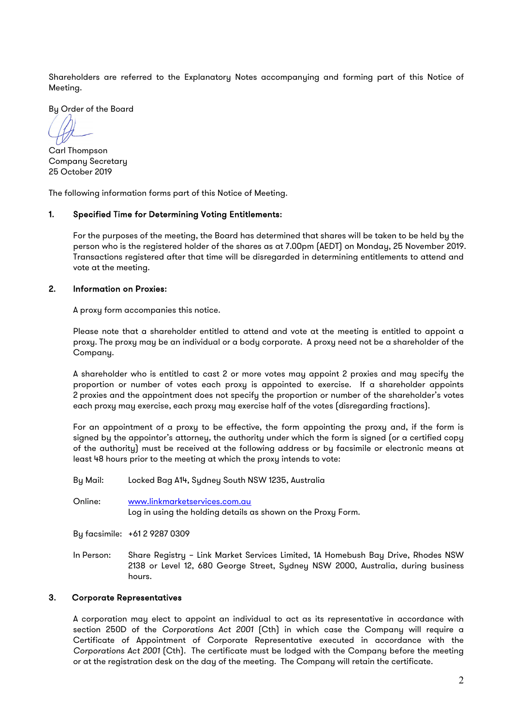Shareholders are referred to the Explanatory Notes accompanying and forming part of this Notice of Meeting.

By Order of the Board

Carl Thompson Company Secretary 25 October 2019

The following information forms part of this Notice of Meeting.

## 1. Specified Time for Determining Voting Entitlements:

For the purposes of the meeting, the Board has determined that shares will be taken to be held by the person who is the registered holder of the shares as at 7.00pm (AEDT) on Monday, 25 November 2019. Transactions registered after that time will be disregarded in determining entitlements to attend and vote at the meeting.

#### 2. Information on Proxies:

A proxy form accompanies this notice.

Please note that a shareholder entitled to attend and vote at the meeting is entitled to appoint a proxy. The proxy may be an individual or a body corporate. A proxy need not be a shareholder of the Company.

A shareholder who is entitled to cast 2 or more votes may appoint 2 proxies and may specify the proportion or number of votes each proxy is appointed to exercise. If a shareholder appoints 2 proxies and the appointment does not specify the proportion or number of the shareholder's votes each proxy may exercise, each proxy may exercise half of the votes (disregarding fractions).

For an appointment of a proxy to be effective, the form appointing the proxy and, if the form is signed by the appointor's attorney, the authority under which the form is signed (or a certified copy of the authority) must be received at the following address or by facsimile or electronic means at least 48 hours prior to the meeting at which the proxy intends to vote:

By Mail: Locked Bag A14, Sydney South NSW 1235, Australia

Online: [www.linkmarketservices.com.au](http://www.linkmarketservices.com.au/) Log in using the holding details as shown on the Proxy Form.

By facsimile: +61 2 9287 0309

In Person: Share Registry – Link Market Services Limited, 1A Homebush Bay Drive, Rhodes NSW 2138 or Level 12, 680 George Street, Sydney NSW 2000, Australia, during business hours.

#### 3. Corporate Representatives

A corporation may elect to appoint an individual to act as its representative in accordance with section 250D of the *Corporations Act 2001* (Cth) in which case the Company will require a Certificate of Appointment of Corporate Representative executed in accordance with the *Corporations Act 2001* (Cth).The certificate must be lodged with the Company before the meeting or at the registration desk on the day of the meeting. The Company will retain the certificate.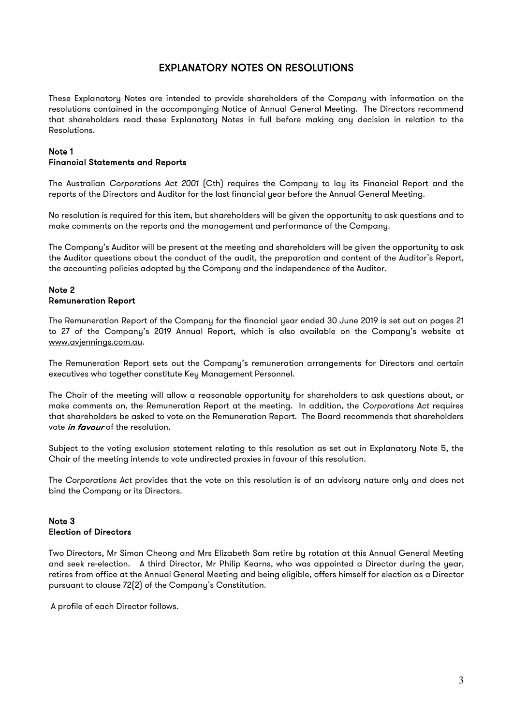## EXPLANATORY NOTES ON RESOLUTIONS

These Explanatory Notes are intended to provide shareholders of the Company with information on the resolutions contained in the accompanying Notice of Annual General Meeting. The Directors recommend that shareholders read these Explanatory Notes in full before making any decision in relation to the Resolutions.

# Note 1

## Financial Statements and Reports

The Australian *Corporations Act 2001* (Cth) requires the Company to lay its Financial Report and the reports of the Directors and Auditor for the last financial year before the Annual General Meeting.

No resolution is required for this item, but shareholders will be given the opportunity to ask questions and to make comments on the reports and the management and performance of the Company.

The Company's Auditor will be present at the meeting and shareholders will be given the opportunity to ask the Auditor questions about the conduct of the audit, the preparation and content of the Auditor's Report, the accounting policies adopted by the Company and the independence of the Auditor.

#### Note 2 Remuneration Report

The Remuneration Report of the Company for the financial year ended 30 June 2019 is set out on pages 21 to 27 of the Company's 2019 Annual Report, which is also available on the Company's website at [www.avjennings.com.au.](http://www.avjennings.com.au/)

The Remuneration Report sets out the Company's remuneration arrangements for Directors and certain executives who together constitute Key Management Personnel.

The Chair of the meeting will allow a reasonable opportunity for shareholders to ask questions about, or make comments on, the Remuneration Report at the meeting. In addition, the *Corporations Act* requires that shareholders be asked to vote on the Remuneration Report. The Board recommends that shareholders vote *in favour* of the resolution.

Subject to the voting exclusion statement relating to this resolution as set out in Explanatory Note 5, the Chair of the meeting intends to vote undirected proxies in favour of this resolution.

The *Corporations Act* provides that the vote on this resolution is of an advisory nature only and does not bind the Company or its Directors.

## Note 3 Election of Directors

Two Directors, Mr Simon Cheong and Mrs Elizabeth Sam retire by rotation at this Annual General Meeting and seek re-election. A third Director, Mr Philip Kearns, who was appointed a Director during the year, retires from office at the Annual General Meeting and being eligible, offers himself for election as a Director pursuant to clause 72(2) of the Company's Constitution.

A profile of each Director follows.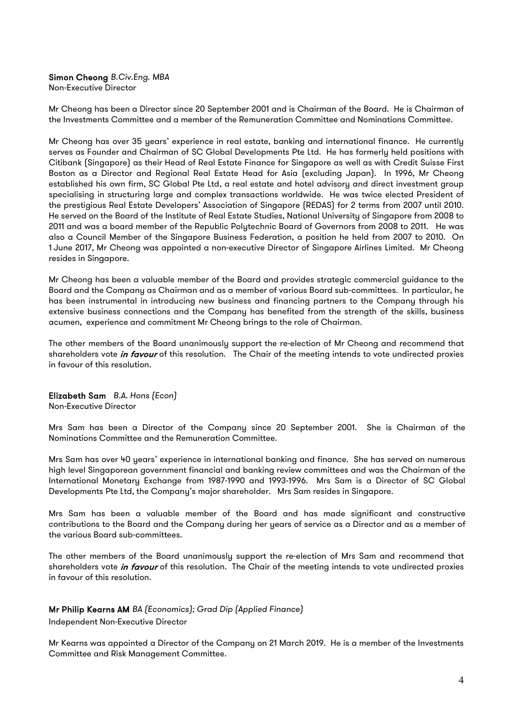## Simon Cheong *B.Civ.Eng. MBA*

Non-Executive Director

Mr Cheong has been a Director since 20 September 2001 and is Chairman of the Board. He is Chairman of the Investments Committee and a member of the Remuneration Committee and Nominations Committee.

Mr Cheong has over 35 years' experience in real estate, banking and international finance. He currently serves as Founder and Chairman of SC Global Developments Pte Ltd. He has formerly held positions with Citibank (Singapore) as their Head of Real Estate Finance for Singapore as well as with Credit Suisse First Boston as a Director and Regional Real Estate Head for Asia (excluding Japan). In 1996, Mr Cheong established his own firm, SC Global Pte Ltd, a real estate and hotel advisory and direct investment group specialising in structuring large and complex transactions worldwide. He was twice elected President of the prestigious Real Estate Developers' Association of Singapore (REDAS) for 2 terms from 2007 until 2010. He served on the Board of the Institute of Real Estate Studies, National University of Singapore from 2008 to 2011 and was a board member of the Republic Polytechnic Board of Governors from 2008 to 2011. He was also a Council Member of the Singapore Business Federation, a position he held from 2007 to 2010. On 1 June 2017, Mr Cheong was appointed a non-executive Director of Singapore Airlines Limited. Mr Cheong resides in Singapore.

Mr Cheong has been a valuable member of the Board and provides strategic commercial guidance to the Board and the Company as Chairman and as a member of various Board sub-committees. In particular, he has been instrumental in introducing new business and financing partners to the Company through his extensive business connections and the Company has benefited from the strength of the skills, business acumen, experience and commitment Mr Cheong brings to the role of Chairman.

The other members of the Board unanimously support the re-election of Mr Cheong and recommend that shareholders vote *in favour* of this resolution. The Chair of the meeting intends to vote undirected proxies in favour of this resolution.

Elizabeth Sam *B.A. Hons (Econ)* Non-Executive Director

Mrs Sam has been a Director of the Company since 20 September 2001. She is Chairman of the Nominations Committee and the Remuneration Committee.

Mrs Sam has over 40 years' experience in international banking and finance. She has served on numerous high level Singaporean government financial and banking review committees and was the Chairman of the International Monetary Exchange from 1987-1990 and 1993-1996. Mrs Sam is a Director of SC Global Developments Pte Ltd, the Company's major shareholder. Mrs Sam resides in Singapore.

Mrs Sam has been a valuable member of the Board and has made significant and constructive contributions to the Board and the Company during her years of service as a Director and as a member of the various Board sub-committees.

The other members of the Board unanimously support the re-election of Mrs Sam and recommend that shareholders vote in favour of this resolution. The Chair of the meeting intends to vote undirected proxies in favour of this resolution.

#### Mr Philip Kearns AM *BA (Economics); Grad Dip (Applied Finance)*

Independent Non-Executive Director

Mr Kearns was appointed a Director of the Company on 21 March 2019. He is a member of the Investments Committee and Risk Management Committee.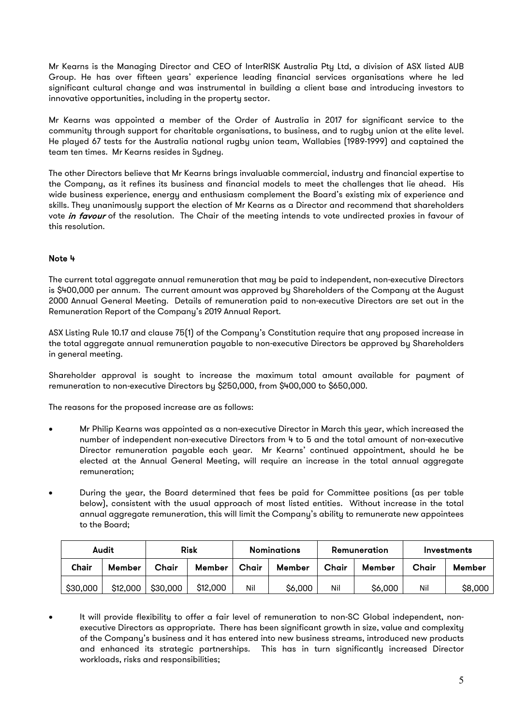Mr Kearns is the Managing Director and CEO of InterRISK Australia Pty Ltd, a division of ASX listed AUB Group. He has over fifteen years' experience leading financial services organisations where he led significant cultural change and was instrumental in building a client base and introducing investors to innovative opportunities, including in the property sector.

Mr Kearns was appointed a member of the Order of Australia in 2017 for significant service to the community through support for charitable organisations, to business, and to rugby union at the elite level. He played 67 tests for the Australia national rugby union team, Wallabies (1989-1999) and captained the team ten times. Mr Kearns resides in Sydney.

The other Directors believe that Mr Kearns brings invaluable commercial, industry and financial expertise to the Company, as it refines its business and financial models to meet the challenges that lie ahead. His wide business experience, energy and enthusiasm complement the Board's existing mix of experience and skills. They unanimously support the election of Mr Kearns as a Director and recommend that shareholders vote in favour of the resolution. The Chair of the meeting intends to vote undirected proxies in favour of this resolution.

## Note 4

The current total aggregate annual remuneration that may be paid to independent, non-executive Directors is \$400,000 per annum. The current amount was approved by Shareholders of the Company at the August 2000 Annual General Meeting. Details of remuneration paid to non-executive Directors are set out in the Remuneration Report of the Company's 2019 Annual Report.

ASX Listing Rule 10.17 and clause 75(1) of the Company's Constitution require that any proposed increase in the total aggregate annual remuneration payable to non-executive Directors be approved by Shareholders in general meeting.

Shareholder approval is sought to increase the maximum total amount available for payment of remuneration to non-executive Directors by \$250,000, from \$400,000 to \$650,000.

The reasons for the proposed increase are as follows:

- Mr Philip Kearns was appointed as a non-executive Director in March this year, which increased the number of independent non-executive Directors from 4 to 5 and the total amount of non-executive Director remuneration payable each year. Mr Kearns' continued appointment, should he be elected at the Annual General Meeting, will require an increase in the total annual aggregate remuneration;
- During the year, the Board determined that fees be paid for Committee positions (as per table below), consistent with the usual approach of most listed entities. Without increase in the total annual aggregate remuneration, this will limit the Company's ability to remunerate new appointees to the Board;

| Audit    |          | <b>Risk</b> |          |       | <b>Nominations</b> |       | Remuneration | Investments |         |  |
|----------|----------|-------------|----------|-------|--------------------|-------|--------------|-------------|---------|--|
| Chair    | Member   | Chair       | Member   | Chair | Member             | Chair | Member       | Chair       | Member  |  |
| \$30,000 | \$12,000 | \$30,000    | \$12,000 | Nil   | \$6,000            | Nil   | \$6,000      | Nil         | \$8,000 |  |

It will provide flexibility to offer a fair level of remuneration to non-SC Global independent, nonexecutive Directors as appropriate. There has been significant growth in size, value and complexity of the Company's business and it has entered into new business streams, introduced new products and enhanced its strategic partnerships. This has in turn significantly increased Director workloads, risks and responsibilities;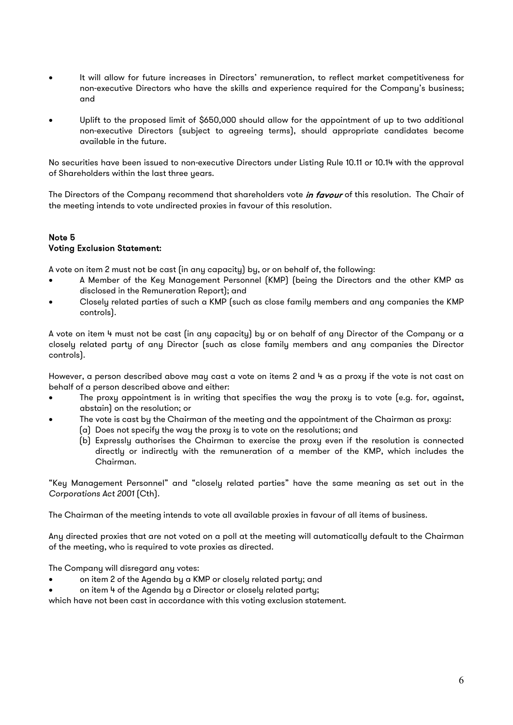- It will allow for future increases in Directors' remuneration, to reflect market competitiveness for non-executive Directors who have the skills and experience required for the Company's business; and
- Uplift to the proposed limit of \$650,000 should allow for the appointment of up to two additional non-executive Directors (subject to agreeing terms), should appropriate candidates become available in the future.

No securities have been issued to non-executive Directors under Listing Rule 10.11 or 10.14 with the approval of Shareholders within the last three years.

The Directors of the Company recommend that shareholders vote in favour of this resolution. The Chair of the meeting intends to vote undirected proxies in favour of this resolution.

## Note 5 Voting Exclusion Statement:

A vote on item 2 must not be cast (in any capacity) by, or on behalf of, the following:

- A Member of the Key Management Personnel (KMP) (being the Directors and the other KMP as disclosed in the Remuneration Report); and
- Closely related parties of such a KMP (such as close family members and any companies the KMP controls).

A vote on item 4 must not be cast (in any capacity) by or on behalf of any Director of the Company or a closely related party of any Director (such as close family members and any companies the Director controls).

However, a person described above may cast a vote on items 2 and 4 as a proxy if the vote is not cast on behalf of a person described above and either:

- The proxy appointment is in writing that specifies the way the proxy is to vote (e.g. for, against, abstain) on the resolution; or
	- The vote is cast by the Chairman of the meeting and the appointment of the Chairman as proxy:
		- (a) Does not specify the way the proxy is to vote on the resolutions; and
		- (b) Expressly authorises the Chairman to exercise the proxy even if the resolution is connected directly or indirectly with the remuneration of a member of the KMP, which includes the Chairman.

"Key Management Personnel" and "closely related parties" have the same meaning as set out in the *Corporations Act 2001* (Cth).

The Chairman of the meeting intends to vote all available proxies in favour of all items of business.

Any directed proxies that are not voted on a poll at the meeting will automatically default to the Chairman of the meeting, who is required to vote proxies as directed.

The Company will disregard any votes:

- on item 2 of the Agenda by a KMP or closely related party; and
- on item 4 of the Agenda by a Director or closely related party;

which have not been cast in accordance with this voting exclusion statement.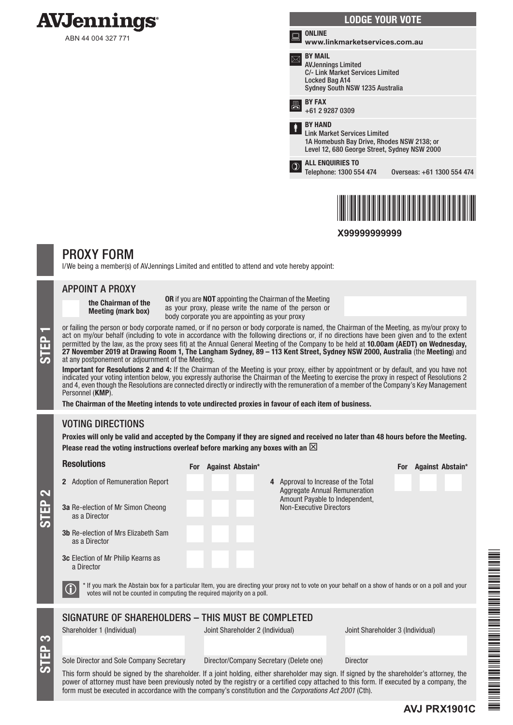

ABN 44 004 327 771



\*X99999999999\*

**X99999999999**

# PROXY FORM

I/We being a member(s) of AVJennings Limited and entitled to attend and vote hereby appoint:

#### APPOINT A PROXY

the Chairman of the Meeting (mark box)

OR if you are NOT appointing the Chairman of the Meeting as your proxy, please write the name of the person or body corporate you are appointing as your proxy

or failing the person or body corporate named, or if no person or body corporate is named, the Chairman of the Meeting, as my/our proxy to act on my/our behalf (including to vote in accordance with the following directions act on my/our behalf (including to vote in accordance with the following directions or, if no directions have been given and to the extent permitted by the law, as the proxy sees fit) at the Annual General Meeting of the Company to be held at 10.00am (AEDT) on Wednesday, 27 November 2019 at Drawing Room 1, The Langham Sydney, 89 – 113 Kent Street, Sydney NSW 2000, Australia (the Meeting) and at any postponement or adjournment of the Meeting.

Important for Resolutions 2 and 4: If the Chairman of the Meeting is your proxy, either by appointment or by default, and you have not indicated your voting intention below, you expressly authorise the Chairman of the Meeting to exercise the proxy in respect of Resolutions 2 and 4, even though the Resolutions are connected directly or indirectly with the remuneration of a member of the Company's Key Management Personnel (KMP).

The Chairman of the Meeting intends to vote undirected proxies in favour of each item of business.

## VOTING DIRECTIONS

STEP 3

STEP 2

Proxies will only be valid and accepted by the Company if they are signed and received no later than 48 hours before the Meeting. Please read the voting instructions overleaf before marking any boxes with an  $\boxtimes$ 

| <b>Resolutions</b>                                                                                                                                                                                                                                                                         |  | For Against Abstain*             |  |                                                                             |                                                                  |  |                                  | <b>For</b> |  | Against Abstain* |
|--------------------------------------------------------------------------------------------------------------------------------------------------------------------------------------------------------------------------------------------------------------------------------------------|--|----------------------------------|--|-----------------------------------------------------------------------------|------------------------------------------------------------------|--|----------------------------------|------------|--|------------------|
| 2 Adoption of Remuneration Report                                                                                                                                                                                                                                                          |  |                                  |  | 4 Approval to Increase of the Total<br><b>Aggregate Annual Remuneration</b> |                                                                  |  |                                  |            |  |                  |
| <b>3a</b> Re-election of Mr Simon Cheong<br>as a Director                                                                                                                                                                                                                                  |  |                                  |  |                                                                             | Amount Payable to Independent,<br><b>Non-Executive Directors</b> |  |                                  |            |  |                  |
| <b>3b</b> Re-election of Mrs Flizabeth Sam<br>as a Director                                                                                                                                                                                                                                |  |                                  |  |                                                                             |                                                                  |  |                                  |            |  |                  |
| <b>3c</b> Election of Mr Philip Kearns as<br>a Director                                                                                                                                                                                                                                    |  |                                  |  |                                                                             |                                                                  |  |                                  |            |  |                  |
| * If you mark the Abstain box for a particular Item, you are directing your proxy not to vote on your behalf on a show of hands or on a poll and your<br>votes will not be counted in computing the required majority on a poll.                                                           |  |                                  |  |                                                                             |                                                                  |  |                                  |            |  |                  |
| SIGNATURE OF SHAREHOLDERS - THIS MUST BE COMPLETED                                                                                                                                                                                                                                         |  |                                  |  |                                                                             |                                                                  |  |                                  |            |  |                  |
| Shareholder 1 (Individual)                                                                                                                                                                                                                                                                 |  | Joint Shareholder 2 (Individual) |  |                                                                             |                                                                  |  | Joint Shareholder 3 (Individual) |            |  |                  |
|                                                                                                                                                                                                                                                                                            |  |                                  |  |                                                                             |                                                                  |  |                                  |            |  |                  |
| Sole Director and Sole Company Secretary                                                                                                                                                                                                                                                   |  |                                  |  |                                                                             | Director/Company Secretary (Delete one)                          |  | <b>Director</b>                  |            |  |                  |
| This form should be signed by the shareholder. If a joint holding, either shareholder may sign. If signed by the shareholder's attorney, the<br>power of attorney must have been previously noted by the registry or a certified copy attached to this form. If executed by a company, the |  |                                  |  |                                                                             |                                                                  |  |                                  |            |  |                  |

FAVO PRINCIPAL PROVINCI PRINCIPAL PRINCIPAL PRINCIPAL PRINCIPAL PRINCIPAL PRINCIPAL PRINCIPAL PRINCIPAL PRINCIPAL PRINCIPAL PRINCIPAL PRINCIPAL PRINCIPAL PRINCIPAL PRINCIPAL PRINCIPAL PRINCIPAL PRINCIPAL PRINCIPAL PRINCIPA 

**AVJ PRX1901C** form must be executed in accordance with the company's constitution and the *Corporations Act 2001* (Cth).